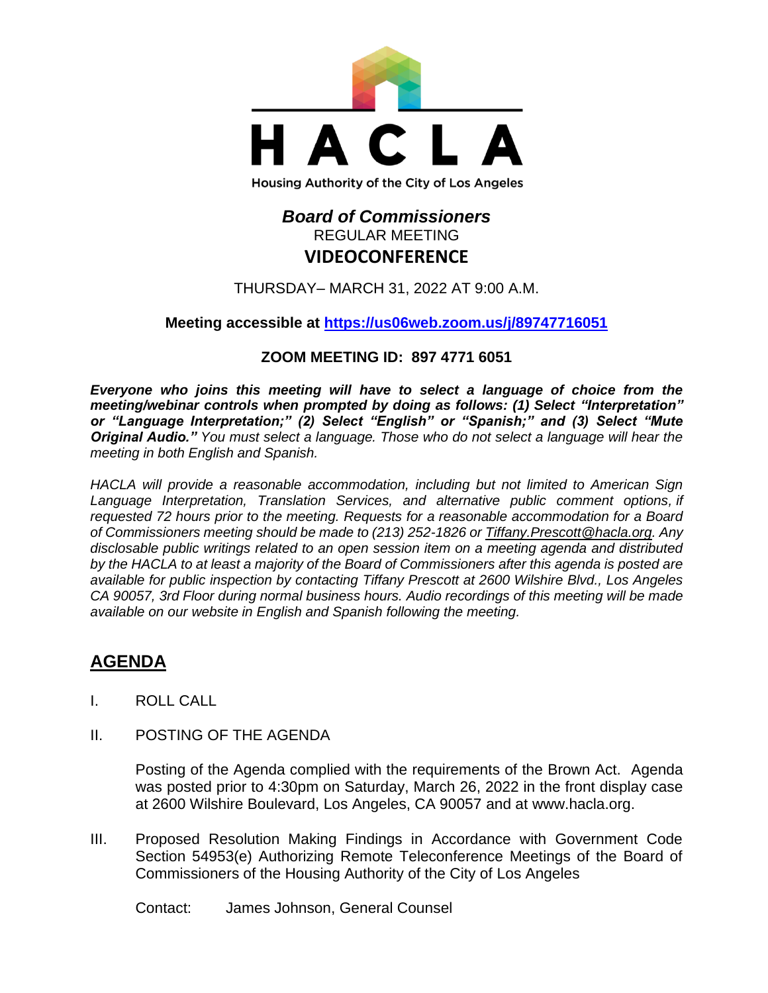

## *Board of Commissioners* REGULAR MEETING **VIDEOCONFERENCE**

THURSDAY– MARCH 31, 2022 AT 9:00 A.M.

## **Meeting accessible at<https://us06web.zoom.us/j/89747716051>**

## **ZOOM MEETING ID: 897 4771 6051**

*Everyone who joins this meeting will have to select a language of choice from the meeting/webinar controls when prompted by doing as follows: (1) Select "Interpretation" or "Language Interpretation;" (2) Select "English" or "Spanish;" and (3) Select "Mute Original Audio." You must select a language. Those who do not select a language will hear the meeting in both English and Spanish.*

*HACLA will provide a reasonable accommodation, including but not limited to American Sign Language Interpretation, Translation Services, and alternative public comment options, if requested 72 hours prior to the meeting. Requests for a reasonable accommodation for a Board of Commissioners meeting should be made to (213) 252-1826 or Tiffany.Prescott@hacla.org. Any disclosable public writings related to an open session item on a meeting agenda and distributed by the HACLA to at least a majority of the Board of Commissioners after this agenda is posted are available for public inspection by contacting Tiffany Prescott at 2600 Wilshire Blvd., Los Angeles CA 90057, 3rd Floor during normal business hours. Audio recordings of this meeting will be made available on our website in English and Spanish following the meeting.*

# **AGENDA**

- I. ROLL CALL
- II. POSTING OF THE AGENDA

Posting of the Agenda complied with the requirements of the Brown Act. Agenda was posted prior to 4:30pm on Saturday, March 26, 2022 in the front display case at 2600 Wilshire Boulevard, Los Angeles, CA 90057 and at [www.hacla.org.](http://www.hacla.org/)

III. Proposed Resolution Making Findings in Accordance with Government Code Section 54953(e) Authorizing Remote Teleconference Meetings of the Board of Commissioners of the Housing Authority of the City of Los Angeles

Contact: James Johnson, General Counsel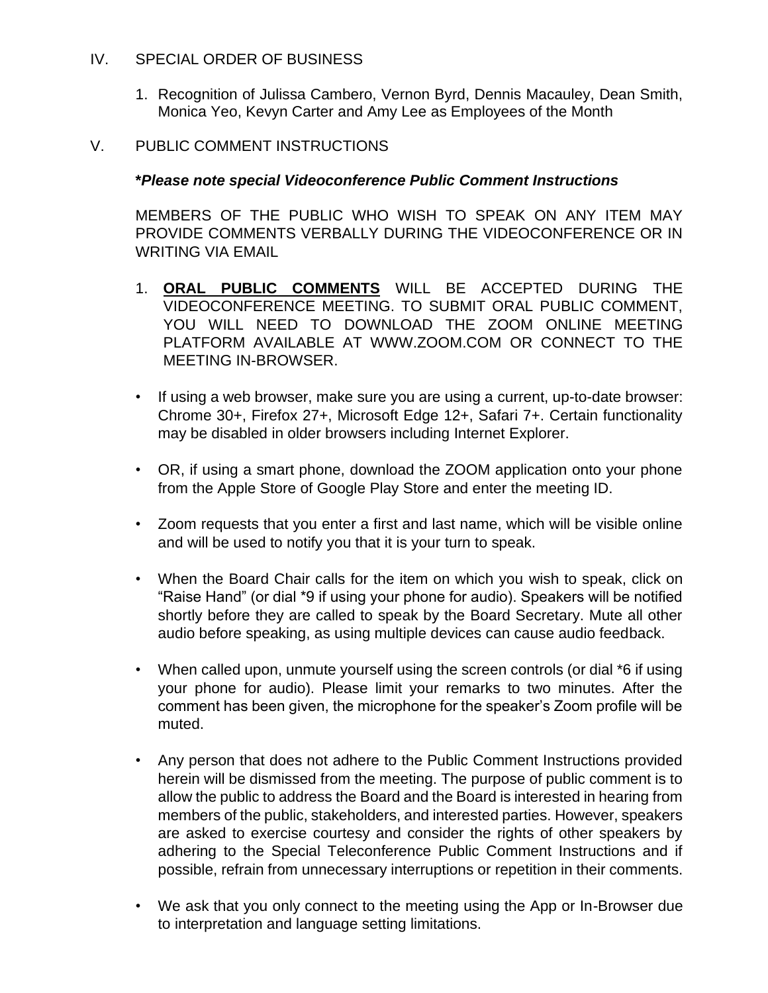### IV. SPECIAL ORDER OF BUSINESS

1. Recognition of Julissa Cambero, Vernon Byrd, Dennis Macauley, Dean Smith, Monica Yeo, Kevyn Carter and Amy Lee as Employees of the Month

### V. PUBLIC COMMENT INSTRUCTIONS

#### **\****Please note special Videoconference Public Comment Instructions*

MEMBERS OF THE PUBLIC WHO WISH TO SPEAK ON ANY ITEM MAY PROVIDE COMMENTS VERBALLY DURING THE VIDEOCONFERENCE OR IN WRITING VIA EMAIL

- 1. **ORAL PUBLIC COMMENTS** WILL BE ACCEPTED DURING THE VIDEOCONFERENCE MEETING. TO SUBMIT ORAL PUBLIC COMMENT, YOU WILL NEED TO DOWNLOAD THE ZOOM ONLINE MEETING PLATFORM AVAILABLE AT WWW.ZOOM.COM OR CONNECT TO THE MEETING IN-BROWSER.
- If using a web browser, make sure you are using a current, up-to-date browser: Chrome 30+, Firefox 27+, Microsoft Edge 12+, Safari 7+. Certain functionality may be disabled in older browsers including Internet Explorer.
- OR, if using a smart phone, download the ZOOM application onto your phone from the Apple Store of Google Play Store and enter the meeting ID.
- Zoom requests that you enter a first and last name, which will be visible online and will be used to notify you that it is your turn to speak.
- When the Board Chair calls for the item on which you wish to speak, click on "Raise Hand" (or dial \*9 if using your phone for audio). Speakers will be notified shortly before they are called to speak by the Board Secretary. Mute all other audio before speaking, as using multiple devices can cause audio feedback.
- When called upon, unmute yourself using the screen controls (or dial \*6 if using your phone for audio). Please limit your remarks to two minutes. After the comment has been given, the microphone for the speaker's Zoom profile will be muted.
- Any person that does not adhere to the Public Comment Instructions provided herein will be dismissed from the meeting. The purpose of public comment is to allow the public to address the Board and the Board is interested in hearing from members of the public, stakeholders, and interested parties. However, speakers are asked to exercise courtesy and consider the rights of other speakers by adhering to the Special Teleconference Public Comment Instructions and if possible, refrain from unnecessary interruptions or repetition in their comments.
- We ask that you only connect to the meeting using the App or In-Browser due to interpretation and language setting limitations.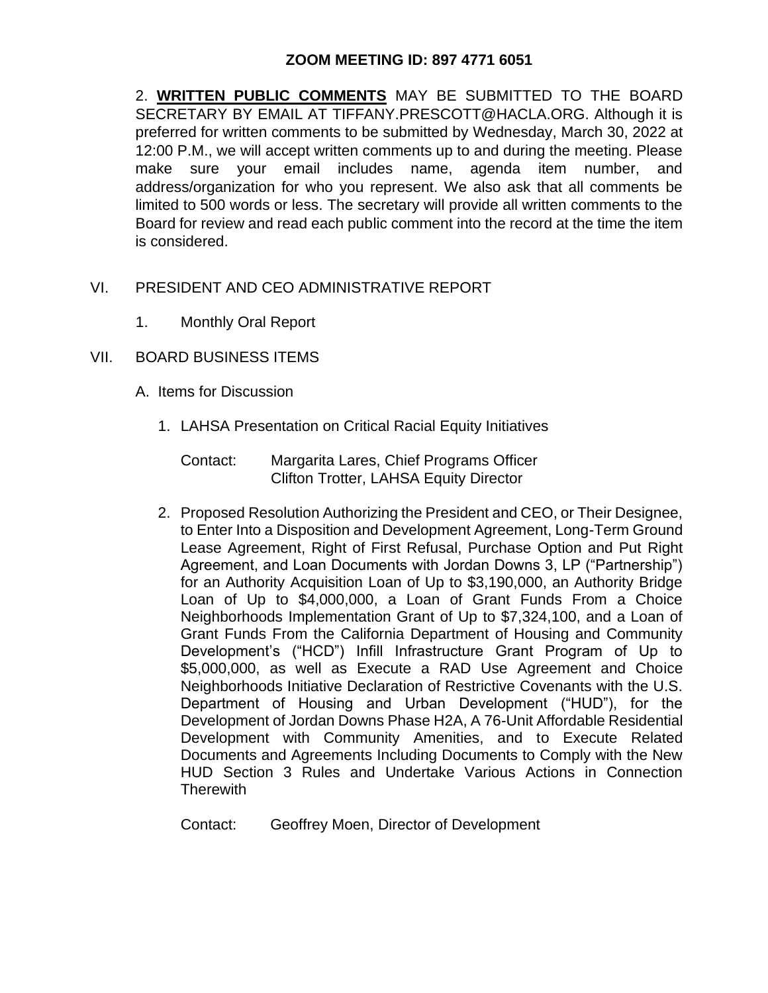## **ZOOM MEETING ID: 897 4771 6051**

2. **WRITTEN PUBLIC COMMENTS** MAY BE SUBMITTED TO THE BOARD SECRETARY BY EMAIL AT TIFFANY.PRESCOTT@HACLA.ORG. Although it is preferred for written comments to be submitted by Wednesday, March 30, 2022 at 12:00 P.M., we will accept written comments up to and during the meeting. Please make sure your email includes name, agenda item number, and address/organization for who you represent. We also ask that all comments be limited to 500 words or less. The secretary will provide all written comments to the Board for review and read each public comment into the record at the time the item is considered.

- VI. PRESIDENT AND CEO ADMINISTRATIVE REPORT
	- 1. Monthly Oral Report
- VII. BOARD BUSINESS ITEMS
	- A. Items for Discussion
		- 1. LAHSA Presentation on Critical Racial Equity Initiatives
			- Contact: Margarita Lares, Chief Programs Officer Clifton Trotter, LAHSA Equity Director
		- 2. Proposed Resolution Authorizing the President and CEO, or Their Designee, to Enter Into a Disposition and Development Agreement, Long-Term Ground Lease Agreement, Right of First Refusal, Purchase Option and Put Right Agreement, and Loan Documents with Jordan Downs 3, LP ("Partnership") for an Authority Acquisition Loan of Up to \$3,190,000, an Authority Bridge Loan of Up to \$4,000,000, a Loan of Grant Funds From a Choice Neighborhoods Implementation Grant of Up to \$7,324,100, and a Loan of Grant Funds From the California Department of Housing and Community Development's ("HCD") Infill Infrastructure Grant Program of Up to \$5,000,000, as well as Execute a RAD Use Agreement and Choice Neighborhoods Initiative Declaration of Restrictive Covenants with the U.S. Department of Housing and Urban Development ("HUD"), for the Development of Jordan Downs Phase H2A, A 76-Unit Affordable Residential Development with Community Amenities, and to Execute Related Documents and Agreements Including Documents to Comply with the New HUD Section 3 Rules and Undertake Various Actions in Connection **Therewith**

Contact: Geoffrey Moen, Director of Development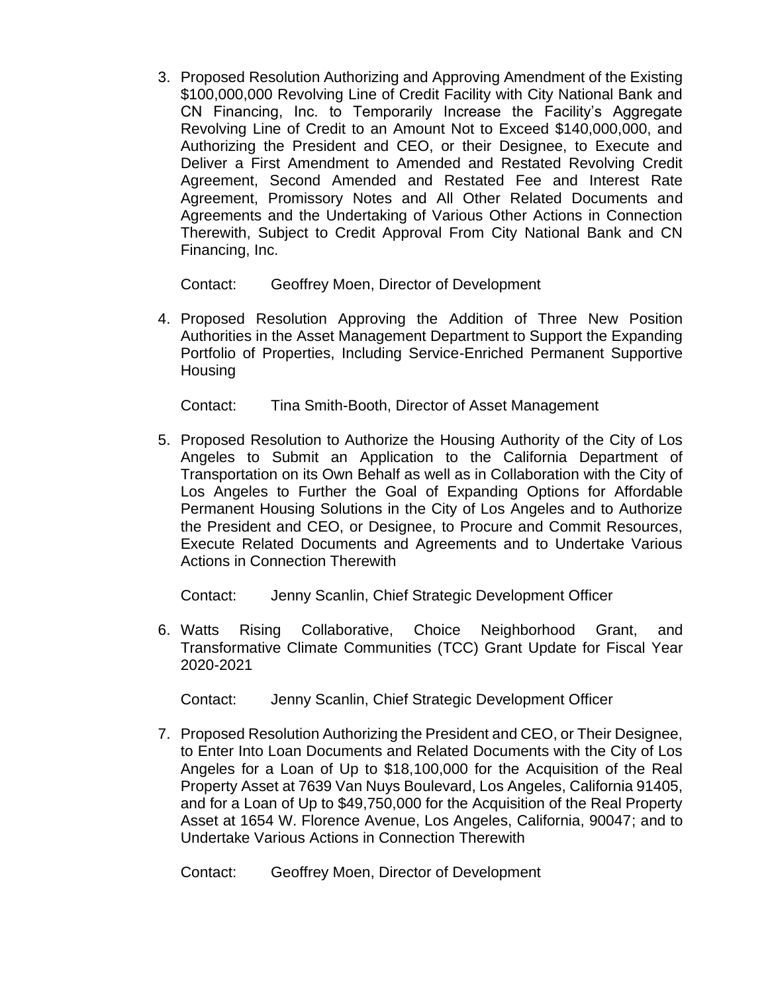3. Proposed Resolution Authorizing and Approving Amendment of the Existing \$100,000,000 Revolving Line of Credit Facility with City National Bank and CN Financing, Inc. to Temporarily Increase the Facility's Aggregate Revolving Line of Credit to an Amount Not to Exceed \$140,000,000, and Authorizing the President and CEO, or their Designee, to Execute and Deliver a First Amendment to Amended and Restated Revolving Credit Agreement, Second Amended and Restated Fee and Interest Rate Agreement, Promissory Notes and All Other Related Documents and Agreements and the Undertaking of Various Other Actions in Connection Therewith, Subject to Credit Approval From City National Bank and CN Financing, Inc.

Contact: Geoffrey Moen, Director of Development

4. Proposed Resolution Approving the Addition of Three New Position Authorities in the Asset Management Department to Support the Expanding Portfolio of Properties, Including Service-Enriched Permanent Supportive Housing

Contact: Tina Smith-Booth, Director of Asset Management

5. Proposed Resolution to Authorize the Housing Authority of the City of Los Angeles to Submit an Application to the California Department of Transportation on its Own Behalf as well as in Collaboration with the City of Los Angeles to Further the Goal of Expanding Options for Affordable Permanent Housing Solutions in the City of Los Angeles and to Authorize the President and CEO, or Designee, to Procure and Commit Resources, Execute Related Documents and Agreements and to Undertake Various Actions in Connection Therewith

Contact: Jenny Scanlin, Chief Strategic Development Officer

6. Watts Rising Collaborative, Choice Neighborhood Grant, and Transformative Climate Communities (TCC) Grant Update for Fiscal Year 2020-2021

Contact: Jenny Scanlin, Chief Strategic Development Officer

7. Proposed Resolution Authorizing the President and CEO, or Their Designee, to Enter Into Loan Documents and Related Documents with the City of Los Angeles for a Loan of Up to \$18,100,000 for the Acquisition of the Real Property Asset at 7639 Van Nuys Boulevard, Los Angeles, California 91405, and for a Loan of Up to \$49,750,000 for the Acquisition of the Real Property Asset at 1654 W. Florence Avenue, Los Angeles, California, 90047; and to Undertake Various Actions in Connection Therewith

Contact: Geoffrey Moen, Director of Development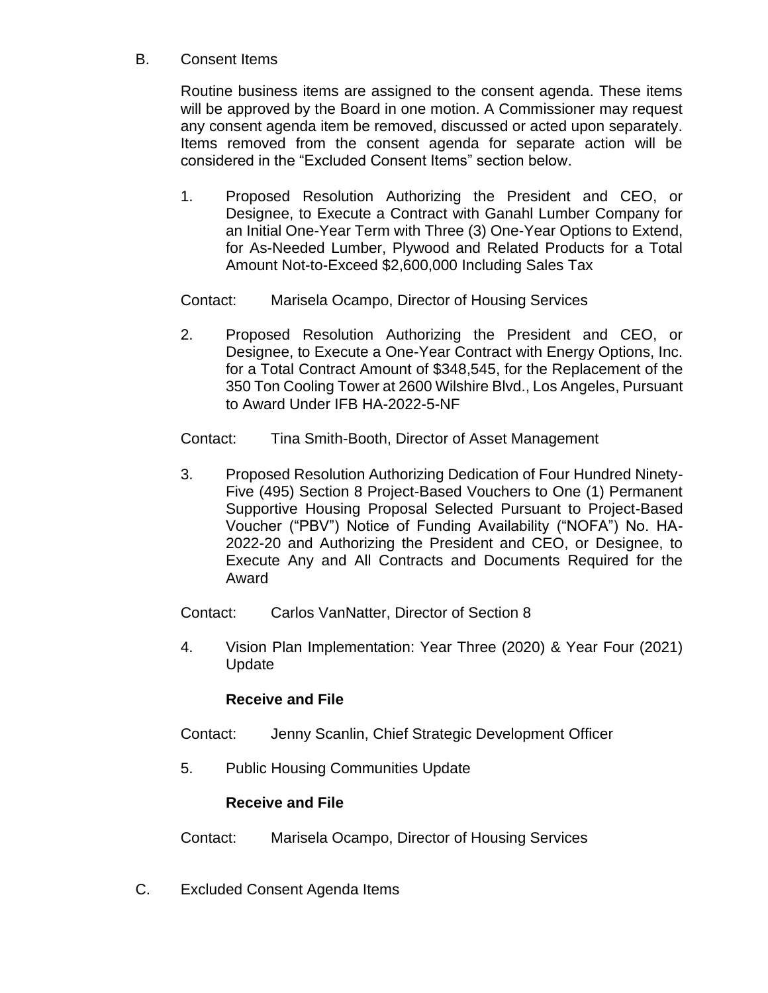## B. Consent Items

Routine business items are assigned to the consent agenda. These items will be approved by the Board in one motion. A Commissioner may request any consent agenda item be removed, discussed or acted upon separately. Items removed from the consent agenda for separate action will be considered in the "Excluded Consent Items" section below.

- 1. Proposed Resolution Authorizing the President and CEO, or Designee, to Execute a Contract with Ganahl Lumber Company for an Initial One-Year Term with Three (3) One-Year Options to Extend, for As-Needed Lumber, Plywood and Related Products for a Total Amount Not-to-Exceed \$2,600,000 Including Sales Tax
- Contact: Marisela Ocampo, Director of Housing Services
- 2. Proposed Resolution Authorizing the President and CEO, or Designee, to Execute a One-Year Contract with Energy Options, Inc. for a Total Contract Amount of \$348,545, for the Replacement of the 350 Ton Cooling Tower at 2600 Wilshire Blvd., Los Angeles, Pursuant to Award Under IFB HA-2022-5-NF
- Contact: Tina Smith-Booth, Director of Asset Management
- 3. Proposed Resolution Authorizing Dedication of Four Hundred Ninety-Five (495) Section 8 Project-Based Vouchers to One (1) Permanent Supportive Housing Proposal Selected Pursuant to Project-Based Voucher ("PBV") Notice of Funding Availability ("NOFA") No. HA-2022-20 and Authorizing the President and CEO, or Designee, to Execute Any and All Contracts and Documents Required for the Award
- Contact: Carlos VanNatter, Director of Section 8
- 4. Vision Plan Implementation: Year Three (2020) & Year Four (2021) Update

## **Receive and File**

- Contact: Jenny Scanlin, Chief Strategic Development Officer
- 5. Public Housing Communities Update

## **Receive and File**

- Contact: Marisela Ocampo, Director of Housing Services
- C. Excluded Consent Agenda Items